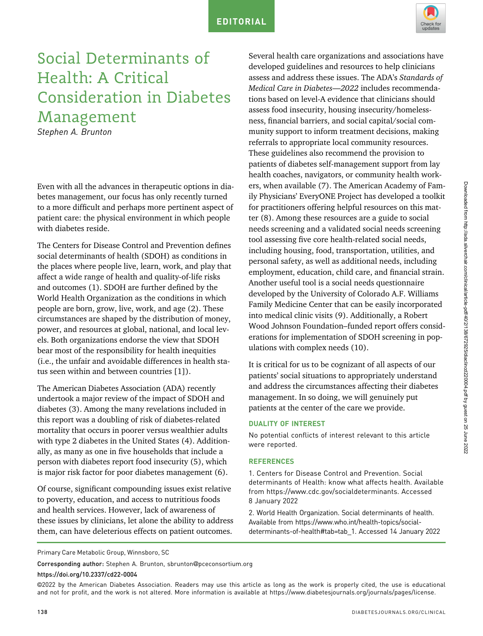

## Social Determinants of Health: A Critical Consideration in Diabetes Management

Stephen A. Brunton

Even with all the advances in therapeutic options in diabetes management, our focus has only recently turned to a more difficult and perhaps more pertinent aspect of patient care: the physical environment in which people with diabetes reside.

The Centers for Disease Control and Prevention defines social determinants of health (SDOH) as conditions in the places where people live, learn, work, and play that affect a wide range of health and quality-of-life risks and outcomes (1). SDOH are further defined by the World Health Organization as the conditions in which people are born, grow, live, work, and age (2). These circumstances are shaped by the distribution of money, power, and resources at global, national, and local levels. Both organizations endorse the view that SDOH bear most of the responsibility for health inequities (i.e., the unfair and avoidable differences in health status seen within and between countries [1]).

The American Diabetes Association (ADA) recently undertook a major review of the impact of SDOH and diabetes (3). Among the many revelations included in this report was a doubling of risk of diabetes-related mortality that occurs in poorer versus wealthier adults with type 2 diabetes in the United States (4). Additionally, as many as one in five households that include a person with diabetes report food insecurity (5), which is major risk factor for poor diabetes management (6).

Of course, significant compounding issues exist relative to poverty, education, and access to nutritious foods and health services. However, lack of awareness of these issues by clinicians, let alone the ability to address them, can have deleterious effects on patient outcomes.

Several health care organizations and associations have developed guidelines and resources to help clinicians assess and address these issues. The ADA's Standards of Medical Care in Diabetes—2022 includes recommendations based on level-A evidence that clinicians should assess food insecurity, housing insecurity/homelessness, financial barriers, and social capital/social community support to inform treatment decisions, making referrals to appropriate local community resources. These guidelines also recommend the provision to patients of diabetes self-management support from lay health coaches, navigators, or community health workers, when available (7). The American Academy of Family Physicians' EveryONE Project has developed a toolkit for practitioners offering helpful resources on this matter (8). Among these resources are a guide to social needs screening and a validated social needs screening tool assessing five core health-related social needs, including housing, food, transportation, utilities, and personal safety, as well as additional needs, including employment, education, child care, and financial strain. Another useful tool is a social needs questionnaire developed by the University of Colorado A.F. Williams Family Medicine Center that can be easily incorporated into medical clinic visits (9). Additionally, a Robert Wood Johnson Foundation–funded report offers considerations for implementation of SDOH screening in populations with complex needs (10).

It is critical for us to be cognizant of all aspects of our patients' social situations to appropriately understand and address the circumstances affecting their diabetes management. In so doing, we will genuinely put patients at the center of the care we provide.

## DUALITY OF INTEREST

No potential conflicts of interest relevant to this article were reported.

## **REFERENCES**

1. Centers for Disease Control and Prevention. Social determinants of Health: know what affects health. Available from [https://www.cdc.gov/socialdeterminants.](https://www.cdc.gov/socialdeterminants) Accessed 8 January 2022

2. World Health Organization. Social determinants of health. Available from [https://www.who.int/health-topics/social](https://www.who.int/health-topics/social-determinants-of-health#tab=tab_1)[determinants-of-health#tab=tab\\_1](https://www.who.int/health-topics/social-determinants-of-health#tab=tab_1). Accessed 14 January 2022

Corresponding author: Stephen A. Brunton, sbrunton@[pceconsortium.org](mailto:sbrunton@pceconsortium.org)

https://doi.org/10.2337/cd22-0004

©2022 by the American Diabetes Association. Readers may use this article as long as the work is properly cited, the use is educational and not for profit, and the work is not altered. More information is available at<https://www.diabetesjournals.org/journals/pages/license>.

Primary Care Metabolic Group, Winnsboro, SC